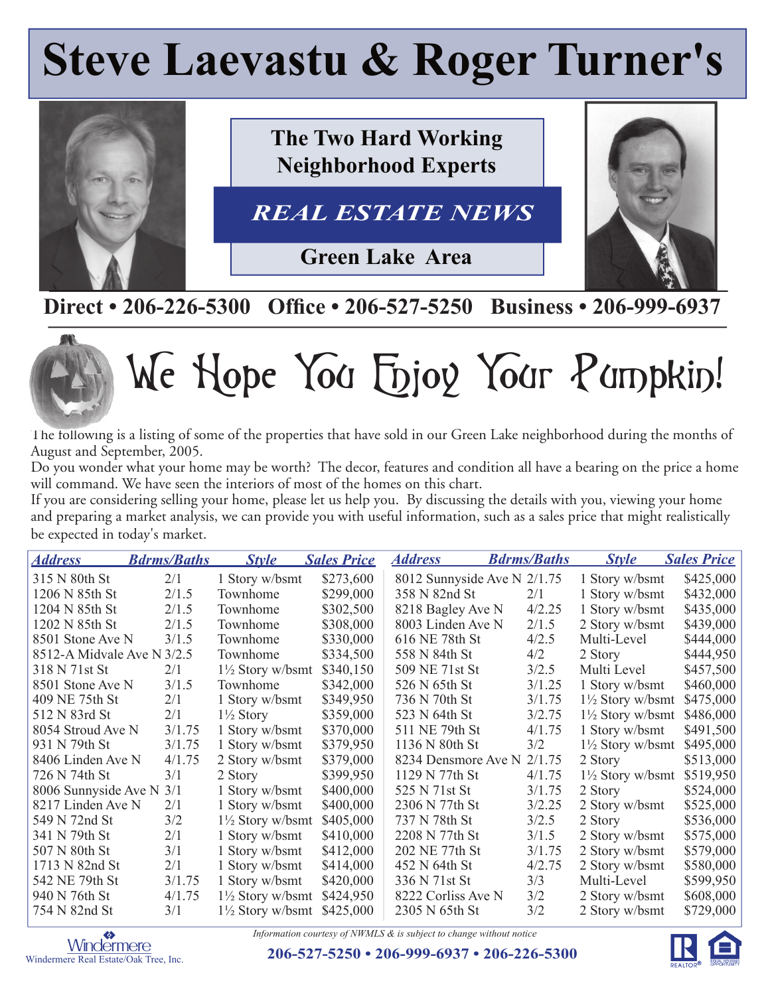## **Steve Laevastu & Roger Turner's**



## **Direct • 206-226-5300 Office • 206-527-5250 Business • 206-999-6937**



# We Hope You Enjoy Your Pumpkin!

The following is a listing of some of the properties that have sold in our Green Lake neighborhood during the months of August and September, 2005.

Do you wonder what your home may be worth? The decor, features and condition all have a bearing on the price a home will command. We have seen the interiors of most of the homes on this chart.

If you are considering selling your home, please let us help you. By discussing the details with you, viewing your home and preparing a market analysis, we can provide you with useful information, such as a sales price that might realistically be expected in today's market.

| <i><b>Address</b></i>      | <b>Bdrms/Baths</b> | <b>Style</b>                | <b>Sales Price</b> | <b>Address</b>              | <b>Bdrms/Baths</b> | <b>Style</b>                | <b>Sales Price</b> |
|----------------------------|--------------------|-----------------------------|--------------------|-----------------------------|--------------------|-----------------------------|--------------------|
| 315 N 80th St              | 2/1                | 1 Story w/bsmt              | \$273,600          | 8012 Sunnyside Ave N 2/1.75 |                    | 1 Story w/bsmt              | \$425,000          |
| 1206 N 85th St             | 2/1.5              | Townhome                    | \$299,000          | 358 N 82nd St               | 2/1                | 1 Story w/bsmt              | \$432,000          |
| 1204 N 85th St             | 2/1.5              | Townhome                    | \$302,500          | 8218 Bagley Ave N           | 4/2.25             | 1 Story w/bsmt              | \$435,000          |
| 1202 N 85th St             | 2/1.5              | Townhome                    | \$308,000          | 8003 Linden Ave N           | 2/1.5              | 2 Story w/bsmt              | \$439,000          |
| 8501 Stone Ave N           | 3/1.5              | Townhome                    | \$330,000          | 616 NE 78th St              | 4/2.5              | Multi-Level                 | \$444,000          |
| 8512-A Midvale Ave N 3/2.5 |                    | Townhome                    | \$334,500          | 558 N 84th St               | 4/2                | 2 Story                     | \$444,950          |
| 318 N 71st St              | 2/1                | $1\frac{1}{2}$ Story w/bsmt | \$340,150          | 509 NE 71st St              | 3/2.5              | Multi Level                 | \$457,500          |
| 8501 Stone Ave N           | 3/1.5              | Townhome                    | \$342,000          | 526 N 65th St               | 3/1.25             | 1 Story w/bsmt              | \$460,000          |
| 409 NE 75th St             | 2/1                | 1 Story w/bsmt              | \$349,950          | 736 N 70th St               | 3/1.75             | $1\frac{1}{2}$ Story w/bsmt | \$475,000          |
| 512 N 83rd St              | 2/1                | $1\frac{1}{2}$ Story        | \$359,000          | 523 N 64th St               | 3/2.75             | $1\frac{1}{2}$ Story w/bsmt | \$486,000          |
| 8054 Stroud Ave N          | 3/1.75             | 1 Story w/bsmt              | \$370,000          | 511 NE 79th St              | 4/1.75             | 1 Story w/bsmt              | \$491,500          |
| 931 N 79th St              | 3/1.75             | 1 Story w/bsmt              | \$379,950          | 1136 N 80th St              | 3/2                | $1\frac{1}{2}$ Story w/bsmt | \$495,000          |
| 8406 Linden Ave N          | 4/1.75             | 2 Story w/bsmt              | \$379,000          | 8234 Densmore Ave N         | 2/1.75             | 2 Story                     | \$513,000          |
| 726 N 74th St              | 3/1                | 2 Story                     | \$399,950          | 1129 N 77th St              | 4/1.75             | $1\frac{1}{2}$ Story w/bsmt | \$519,950          |
| 8006 Sunnyside Ave N       | 3/1                | 1 Story w/bsmt              | \$400,000          | 525 N 71st St               | 3/1.75             | 2 Story                     | \$524,000          |
| 8217 Linden Ave N          | 2/1                | 1 Story w/bsmt              | \$400,000          | 2306 N 77th St              | 3/2.25             | 2 Story w/bsmt              | \$525,000          |
| 549 N 72nd St              | 3/2                | $1\frac{1}{2}$ Story w/bsmt | \$405,000          | 737 N 78th St               | 3/2.5              | 2 Story                     | \$536,000          |
| 341 N 79th St              | 2/1                | 1 Story w/bsmt              | \$410,000          | 2208 N 77th St              | 3/1.5              | 2 Story w/bsmt              | \$575,000          |
| 507 N 80th St              | 3/1                | 1 Story w/bsmt              | \$412,000          | 202 NE 77th St              | 3/1.75             | 2 Story w/bsmt              | \$579,000          |
| 1713 N 82nd St             | 2/1                | 1 Story w/bsmt              | \$414,000          | 452 N 64th St               | 4/2.75             | 2 Story w/bsmt              | \$580,000          |
| 542 NE 79th St             | 3/1.75             | 1 Story w/bsmt              | \$420,000          | 336 N 71st St               | 3/3                | Multi-Level                 | \$599,950          |
| 940 N 76th St              | 4/1.75             | $1\frac{1}{2}$ Story w/bsmt | \$424,950          | 8222 Corliss Ave N          | 3/2                | 2 Story w/bsmt              | \$608,000          |
| 754 N 82nd St              | 3/1                | $1\frac{1}{2}$ Story w/bsmt | \$425,000          | 2305 N 65th St              | 3/2                | 2 Story w/bsmt              | \$729,000          |

*Information courtesy of NWMLS & is subject to change without notice*